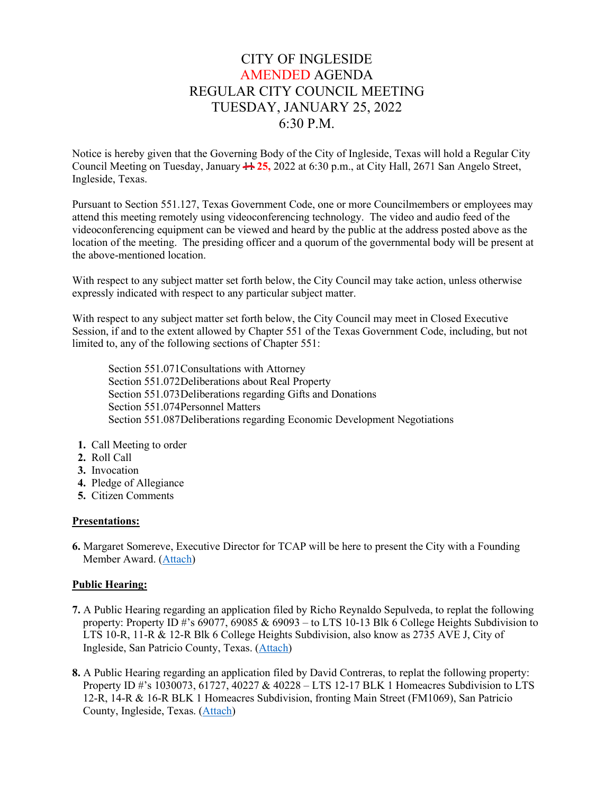# CITY OF INGLESIDE AMENDED AGENDA REGULAR CITY COUNCIL MEETING TUESDAY, JANUARY 25, 2022 6:30 P.M.

Notice is hereby given that the Governing Body of the City of Ingleside, Texas will hold a Regular City Council Meeting on Tuesday, January  $\frac{11}{25}$ , 2022 at 6:30 p.m., at City Hall, 2671 San Angelo Street, Ingleside, Texas.

Pursuant to Section 551.127, Texas Government Code, one or more Councilmembers or employees may attend this meeting remotely using videoconferencing technology. The video and audio feed of the videoconferencing equipment can be viewed and heard by the public at the address posted above as the location of the meeting. The presiding officer and a quorum of the governmental body will be present at the above-mentioned location.

With respect to any subject matter set forth below, the City Council may take action, unless otherwise expressly indicated with respect to any particular subject matter.

With respect to any subject matter set forth below, the City Council may meet in Closed Executive Session, if and to the extent allowed by Chapter 551 of the Texas Government Code, including, but not limited to, any of the following sections of Chapter 551:

Section 551.071Consultations with Attorney Section 551.072Deliberations about Real Property Section 551.073Deliberations regarding Gifts and Donations Section 551.074Personnel Matters Section 551.087Deliberations regarding Economic Development Negotiations

- **1.** Call Meeting to order
- **2.** Roll Call
- **3.** Invocation
- **4.** Pledge of Allegiance
- **5.** Citizen Comments

#### **Presentations:**

**6.** Margaret Somereve, Executive Director for TCAP will be here to present the City with a Founding Member Award. [\(Attach\)](https://tx-ingleside.civicplus.com/DocumentCenter/View/840/6-TCAP-Presentation)

## **Public Hearing:**

- **7.** A Public Hearing regarding an application filed by Richo Reynaldo Sepulveda, to replat the following property: Property ID #'s 69077, 69085 & 69093 – to LTS 10-13 Blk 6 College Heights Subdivision to LTS 10-R, 11-R & 12-R Blk 6 College Heights Subdivision, also know as 2735 AVE J, City of Ingleside, San Patricio County, Texas. [\(Attach\)](https://tx-ingleside.civicplus.com/DocumentCenter/View/841/7-PH-College-Heights)
- **8.** A Public Hearing regarding an application filed by David Contreras, to replat the following property: Property ID #'s 1030073, 61727, 40227 & 40228 – LTS 12-17 BLK 1 Homeacres Subdivision to LTS 12-R, 14-R & 16-R BLK 1 Homeacres Subdivision, fronting Main Street (FM1069), San Patricio County, Ingleside, Texas. [\(Attach\)](https://tx-ingleside.civicplus.com/DocumentCenter/View/842/8-PH-Homeacres)